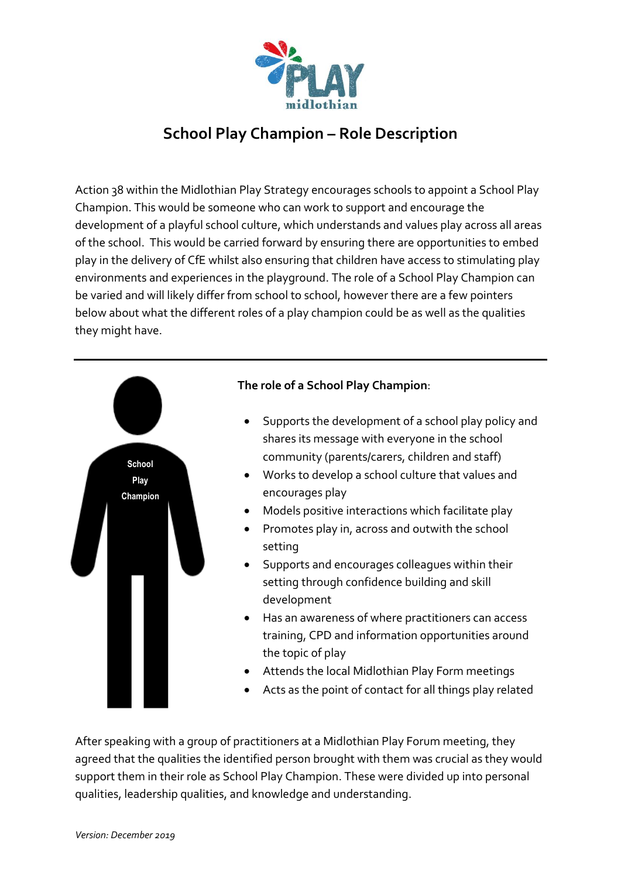

## **School Play Champion – Role Description**

Action 38 within the Midlothian Play Strategy encourages schools to appoint a School Play Champion. This would be someone who can work to support and encourage the development of a playful school culture, which understands and values play across all areas of the school. This would be carried forward by ensuring there are opportunities to embed play in the delivery of CfE whilst also ensuring that children have access to stimulating play environments and experiences in the playground. The role of a School Play Champion can be varied and will likely differ from school to school, however there are a few pointers below about what the different roles of a play champion could be as well as the qualities they might have.



After speaking with a group of practitioners at a Midlothian Play Forum meeting, they agreed that the qualities the identified person brought with them was crucial as they would support them in their role as School Play Champion. These were divided up into personal qualities, leadership qualities, and knowledge and understanding.